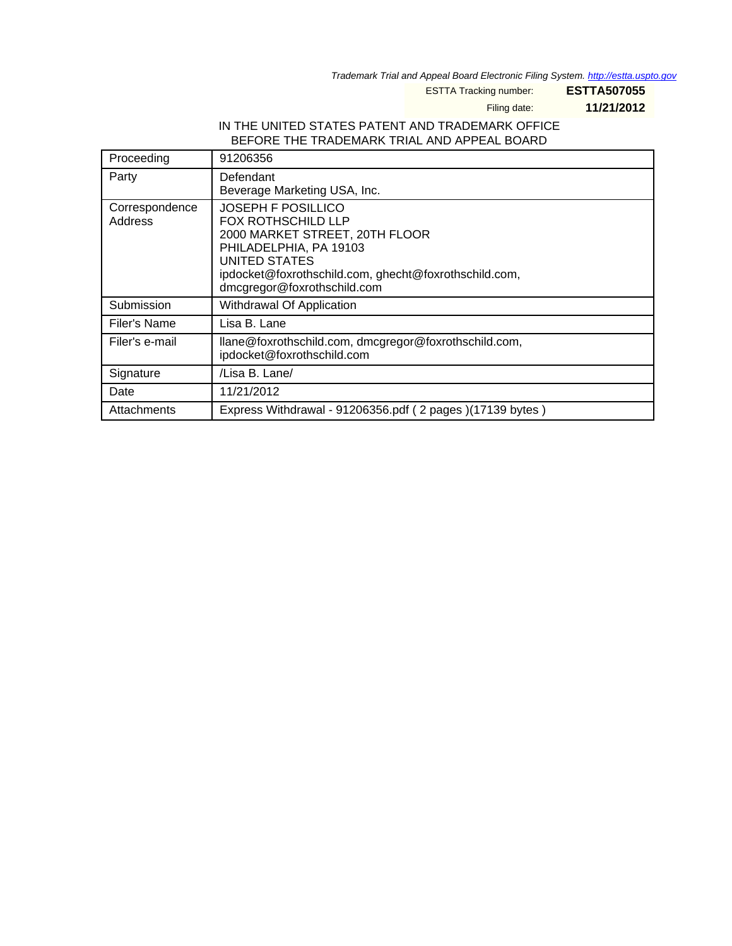Trademark Trial and Appeal Board Electronic Filing System. <http://estta.uspto.gov>

ESTTA Tracking number: **ESTTA507055**

Filing date: **11/21/2012**

#### IN THE UNITED STATES PATENT AND TRADEMARK OFFICE BEFORE THE TRADEMARK TRIAL AND APPEAL BOARD

| Proceeding                | 91206356                                                                                                                                                                                                             |
|---------------------------|----------------------------------------------------------------------------------------------------------------------------------------------------------------------------------------------------------------------|
| Party                     | Defendant<br>Beverage Marketing USA, Inc.                                                                                                                                                                            |
| Correspondence<br>Address | JOSEPH F POSILLICO<br><b>FOX ROTHSCHILD LLP</b><br>2000 MARKET STREET, 20TH FLOOR<br>PHILADELPHIA, PA 19103<br>UNITED STATES<br>ipdocket@foxrothschild.com, ghecht@foxrothschild.com,<br>dmcgregor@foxrothschild.com |
| Submission                | Withdrawal Of Application                                                                                                                                                                                            |
| Filer's Name              | Lisa B. Lane                                                                                                                                                                                                         |
| Filer's e-mail            | llane@foxrothschild.com, dmcgregor@foxrothschild.com,<br>ipdocket@foxrothschild.com                                                                                                                                  |
| Signature                 | /Lisa B. Lane/                                                                                                                                                                                                       |
| Date                      | 11/21/2012                                                                                                                                                                                                           |
| Attachments               | Express Withdrawal - 91206356.pdf (2 pages)(17139 bytes)                                                                                                                                                             |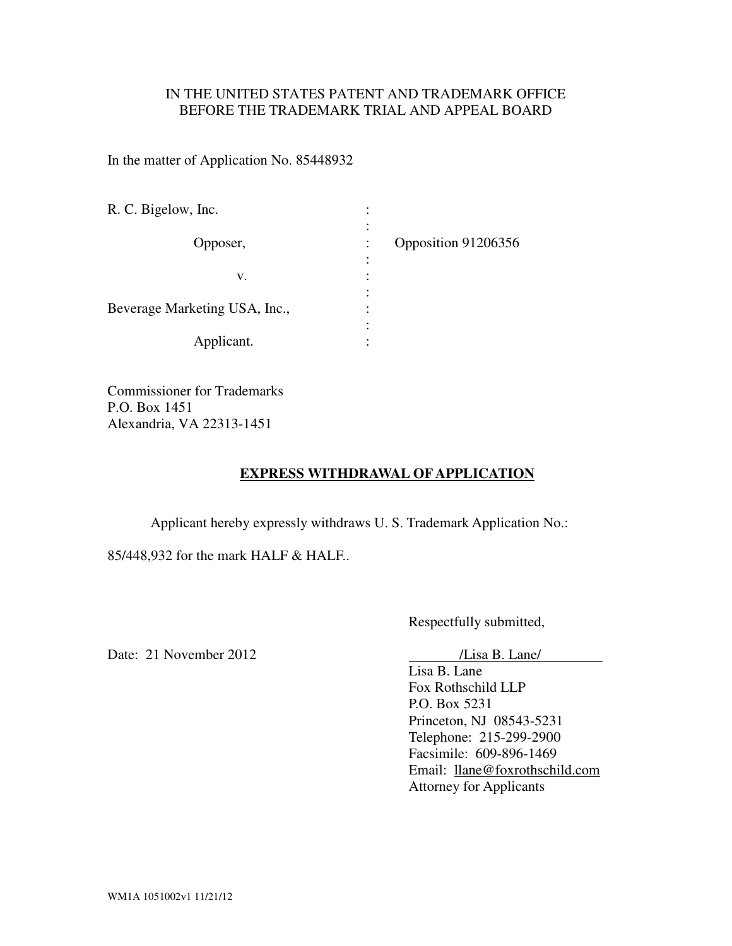### IN THE UNITED STATES PATENT AND TRADEMARK OFFICE BEFORE THE TRADEMARK TRIAL AND APPEAL BOARD

In the matter of Application No. 85448932

| R. C. Bigelow, Inc.           |                |                     |
|-------------------------------|----------------|---------------------|
| Opposer,                      | ٠<br>$\bullet$ | Opposition 91206356 |
|                               | ٠<br>$\cdot$   |                     |
| v.                            |                |                     |
|                               |                |                     |
| Beverage Marketing USA, Inc., |                |                     |
|                               | ٠              |                     |
| Applicant.                    | ٠              |                     |

Commissioner for Trademarks P.O. Box 1451 Alexandria, VA 22313-1451

# **EXPRESS WITHDRAWAL OF APPLICATION**

Applicant hereby expressly withdraws U. S. Trademark Application No.:

85/448,932 for the mark HALF & HALF..

Respectfully submitted,

Date: 21 November 2012 /Lisa B. Lane/

Lisa B. Lane Fox Rothschild LLP P.O. Box 5231 Princeton, NJ 08543-5231 Telephone: 215-299-2900 Facsimile: 609-896-1469 Email: llane@foxrothschild.com Attorney for Applicants